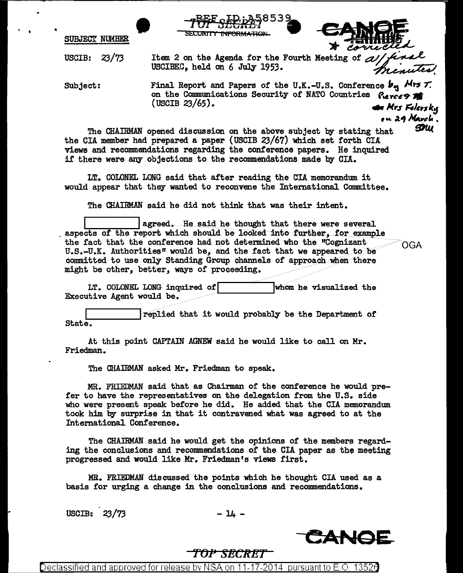SUBJECT NUMBER

 $-7\frac{BFE}{BECRT}SED:AA-8 53 9$ <br>SECURITY INFORMATION SECURITY INFORMATION

 $40.0$ 

ou 29 March.

**92**W

USCIB: 23/73

USCIBEC. held on 6 July 1953.

Subject: Final Report and Papers of the U.K.-U.S. Conference  $b_{\alpha}$  Mrs  $\tau$ . on the Communications Security of NATO Countries Perces is (USCIB 23/65).

The CHAIRMAN opened discussion on the above subject by stating that the CIA member had prepared a paper (USCIB 23/67) which set forth CIA views and recommendations regarding the conference papers. He inquired if there were any objections to the recommendations made by CIA.

LT. COLONEL LONG said that after reading the CIA memorandum it would appear that they wanted to reconvene the Intemational Committee.

The CHAIRMAN said he did not think that was their intent.

Illusted. He said he thought that there were several aspects of the report which should be looked into further, for example the fact that the conference had not determined who the "Cognizant  $\bigcirc_{\mathsf{GGA}}$  $U.S.-U.K.$  Authorities" would be, and the fact that we appeared to be committed to use only Standing Group channels of approach when there might be other, better, ways of proceeding.

LT. COLONEL LONG inquired of  $\boxed{\phantom{a}}$  whom he visualized the Executive Agent would be.

replied that it would probably be the Department of State.

At this point CAPTAIN AGNEW said he would like to call on Mr. Friedman.

The CHAIRMAN asked Mr. Friedman to speak.

MR. FRIEDMAN said that as Chairman of the conference he would prefer to have the representatives on the delegation from the U.S. side who were present speak before he did. He added that the CIA memorandum took him by surprise in that it contravened what was agreed to at the Intemational Conference.

The CHAIRMAN said he would get the opinions of the members regarding the conclusions and recommendations of the CIA paper as the meeting progressed and would like Mr. Friedman's views first.

MR. FRIEDMAN discussed the points which he thought CIA used as a basis for urging a change in the conclusions and recommendations.

 $\text{USCIB:} \quad 23/73 \quad - \, 14 \, -$ 



## *TOP SECRET*

Declassified and approved for release bv NSA on 11-17-2014 pursuant to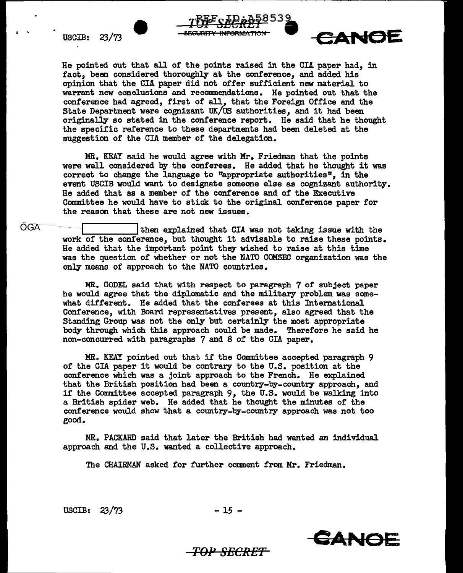

He pointed out that all of the points raised in the CIA paper had, in fact, been considered thoroughly at the conference, and added his opinion that the CIA paper did not offer sufficient new material to warrant new conclusions and recommendations. He pointed out that the conference had agreed, first of all, that the Foreign Office and the State Department were cognizant UK/US authorities, and it had been originally so stated in the conference report. He said that he thought the specific reference to these departments had been deleted at the suggestion of the CIA member of the delegation.

~~iP12i§BS3. 4..1~'-.1'.&l..&..J **...** 

MR. KEAY said he would agree with Mr. Friedman that the points were well considered by the conferees. He added that he thought it was correct to change the language to "appropriate authorities", in the event USCIB would want to designate someone else as cognizant authority. He added that as a member of the conference and of the Executive Committee he would have to stick to the original conference paper for the reason that these are not new issues.

OGA **I construct then explained that CIA** was not taking issue with the work of the conference, but thought it advisable to raise these points. He added that the important point they wished to raise at this time was the question of whether or not the NATO COMSEC organization was the only means of approach to the NATO countries.

> MR. GODEL said that with respect to paragraph 7 of subject paper he would agree that the diplomatic and the military problem was somewhat different. He added that the conferees at this International Conference, with Board representatives present, also agreed that the Standing Group was not the only but certainly the most appropriate body through which this approach could be made.. Therefore he said he non-concurred with paragraphs 7 and 8 of the CIA paper.

> MR. KEAY pointed out that if the Committee accepted paragraph 9 of the CIA paper it would be contrary to the U.S. position at the conference which was a joint approach to the French. He explained that the British position had been a country-by-country approach, and if the Committee accepted paragraph 9, the U.S. would be walking into a British spider web. He added that he thought the minutes of the conference would show that a country-by-country approach was not too good.

> MR. PACKARD said that later the British had wanted an individual approach and the U.S. wanted a collective approach.

The CHAIRMAN asked for further comment from Mr. Friedman.

USCIB:  $23/73$  - 15 -

*TOl' SECRET* 



 $\epsilon$ anoe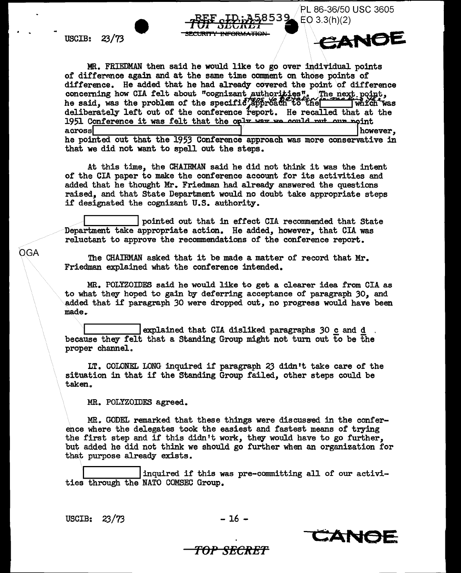USCIB: 23/73

. .

**OGA** 

MR. FRIEDMAN then said he would like to go over individual points of difference again and at the same time comment on those points of difference. He added that he had already covered the point of difference concerning how CIA felt about "cognizant authorities". The next point,<br>he said, was the problem of the specific..approach to the war which was deliberately left out of the conference report. He recalled that at the 1951 Conference it was felt that the only  $\frac{1}{2}$  wave we could nut our noint across across however, he pointed out that the 1953 Conference approach was more conservative in that we did not want to spell out the steps.

**INFORMATIO** 

At this time, the CHAIRMAN said he did not think it was the intent of the CIA paper to make the conference account for its activities and added that he thought Mr. Friedman had already answered the questions raised, and that State Department would no doubt take appropriate steps if designated the cognizant U.S. authority.

pointed out that in effect CIA recommended that State Department take appropriate action. He added, however, that CIA was reluctant to approve the recommendations of the conference report.

The CHAIRMAN asked that it be made a matter of record that Mr. Friedman explained what the conference intended.

MR. POLYZOIDES said he would like to get a clearer idea from CIA as to what they hoped to gain by deferring acceptance of paragraph 30, and added that if paragraph 30 were dropped out, no progress would have been made ..

explained that CIA disliked paragraphs 30 c and d . because they felt that a Standing Group might not turn out to be the proper channel.

LT. COLONEL LONG inquired if paragraph 23 didn't take care of the situation in that if the Standing Group failed, other steps could be taken.

MR. POLYZOIDES agreed.

MR. GODEL remarked that these things were discussed in the conference where the delegates took the easiest and fastest means of trying the first step and if this didn't work, they would have to go further, but added he did not think we should go further when an organization for that purpose already exists.

inquired if this was pre-committing all of our activities through the NATO COMSEC Group.

USCIB:  $23/73$  - 16 -



PL 86-36/50 USC 3605

CANOE

 $EO$  3.3(h)(2)

## POP SECRE'f'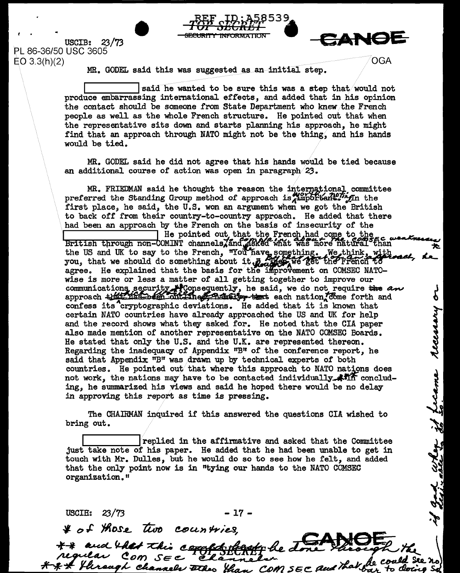USCIB: 23/73 PL 86-36/50 USC 3605  $EO~3.3(h)(2)$ 





q<br>q

recessing

if gad when if freame

See no

8a -

MR. GODEL said this was suggested as an initial step.

said he wanted to be sure this was a step that/would not produce embarrassing international effects, and added that in his opinion the contact should be someone from State Department who lmew/the French people as well as the whole French structure. He pointed out that when the representative sits down and starts planning his approach, he might find that an approach through NATO might not be the thing, and his hands would be tied.

MR. GODEL said he did not agree that his hands would be tied because an additional course of action was open in paragraph $/23$ .

MR. FRIEDMAN said he thought the reason the international committee preferred the Standing Group method of approach is important. In the first place, he said, the U.S. won an argument when we got the British to back off from their country-to-country approach. He added that there had been an approach by the French on the basis of insecurity of the state of the state of the state of the state of the state of the state of the state of the state of the state of the state of the state of the state of t had been an approach by the French on the basis of insecurity of the<br>IFitish through non-COMINT channels, and *asked what was more natural* than the US and UK to say to the French, "You have something. We think, with the US and UK to say to the French, "You have something. We think, with you, that we should do something about it  $R$  as the set the rench to agree. He explained that the basis for the improvement on COMSEC NATOwise is more or less a matter of all getting together to improve our communications security **AC** consequently, he said, we do not require the and approach + 12: 12: been off ine finitely + that each nation come forth and confess its cryptographic deviations. He added that it is known that certain NATO countries have already approached the US and UK for help and the record shows what they asked for. He noted that the CIA paper also made mention of another representative on the NATO GOMSEC Boards. He stated that only the U.S. and the U.K. are represented thereon. Regarding the inadequacy of Appendix ''B" of the conference report, he said that Appendix  $n_Br$  was drawn up by technical experts of both countries. He pointed out that where this approach to NATO nations does not work, the nations may have to be contacted individually  $\mathcal{H}$  m concluding, he summarized his views and said he hoped there would be no delay in approving this report as time is pressing.

The CHAIRMAN inquired if this answered the questions CIA wished to bring out.

 $l$  replied in the affirmative and asked that the Committee just take note of his paper. He added that he had been unable to get in touch with Mr. Dulles, but he would do so to see how he felt, and added that the only point now is in "tying our hands to the NATO COMSEC organization."

 $USCIB: 23/73$  - 17 -

& of those two countries,

\*\* and that this completent be to

\*\* Through channels there than COM SEC and that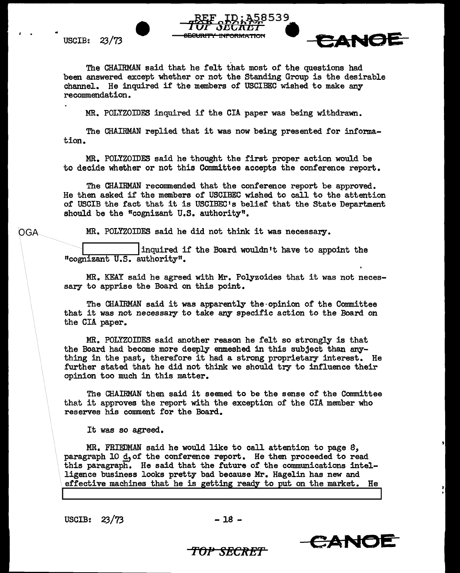I •

OGA



The CHAIRMAN said that he felt that most of the questions had been answered except whether or not the Standing Group is the desirable channel. He inquired if the members of USCIBEC wished to make any recommendation.

MR. POLYZOIDES inquired if the CIA paper was being withdrawn.

The CHAIRMAN replied that it was now being presented for information.

MR. POLYZOIDES said he thought the first proper action would be to decide whether or not this Committee accepts the conference report.

The CHAIRMAN recommended that the conference report be approved. He then asked if the members of USCIBEC wished to call to the attention of USCIB the fact that it is USCIBEC's belief that the State Department should be the "cognizant U.S. authority".

MR. POLYZOIDES said he did not think it was necessary.

inquired if the Board wouldn't have to appoint the <sup>11</sup>cognizant U.S. authority".

MR. KEAY said he agreed with Mr. Polyzoides that it was not necessary to apprise the Board on this point.

The CHAIRMAN said it was apparently the-opinion of the Committee that it was not necessary to take any specific action to the Board on the CIA paper.

MR. POLYZOIDES said another reason he felt so strongly is that the Board had become more deeply enmeshed in this subject than anything in the past, therefore it had a strong proprietary interest. He further stated that he did not think we should try to influence their opinion too much in this matter.

The CHAIRMAN then said it seemed to be the sense of the Committee that it approves the report with the exception of the CIA member who reserves his comment for the Board.

It was so agreed.

MR. FRIEDMAN said he would like to call attention to page S, paragraph  $10$   $d$ , of the conference report. He then proceeded to read this paragraph. He said that the future of the communications intelligence business looks pretty bad because Mr. Hagelin has new and effective machines that he is getting ready to put on the market. He

USCIB:  $23/73$  -18 -